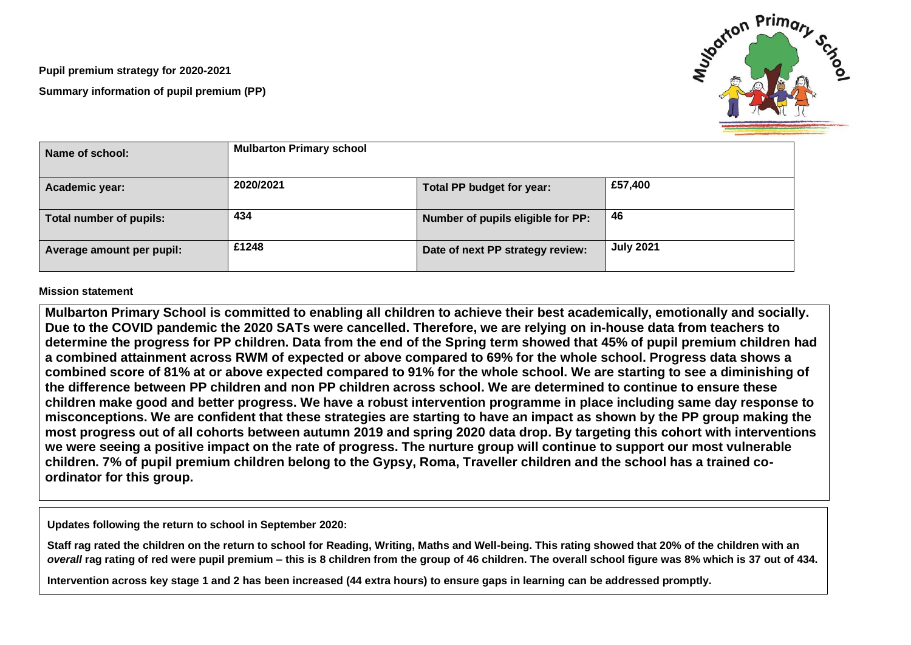**Pupil premium strategy for 2020-2021 Summary information of pupil premium (PP)**



| Name of school:           | <b>Mulbarton Primary school</b> |                                   |                  |
|---------------------------|---------------------------------|-----------------------------------|------------------|
| Academic year:            | 2020/2021                       | Total PP budget for year:         | £57,400          |
| Total number of pupils:   | 434                             | Number of pupils eligible for PP: | 46               |
| Average amount per pupil: | £1248                           | Date of next PP strategy review:  | <b>July 2021</b> |

## **Mission statement**

**Mulbarton Primary School is committed to enabling all children to achieve their best academically, emotionally and socially. Due to the COVID pandemic the 2020 SATs were cancelled. Therefore, we are relying on in-house data from teachers to determine the progress for PP children. Data from the end of the Spring term showed that 45% of pupil premium children had a combined attainment across RWM of expected or above compared to 69% for the whole school. Progress data shows a combined score of 81% at or above expected compared to 91% for the whole school. We are starting to see a diminishing of the difference between PP children and non PP children across school. We are determined to continue to ensure these children make good and better progress. We have a robust intervention programme in place including same day response to misconceptions. We are confident that these strategies are starting to have an impact as shown by the PP group making the most progress out of all cohorts between autumn 2019 and spring 2020 data drop. By targeting this cohort with interventions we were seeing a positive impact on the rate of progress. The nurture group will continue to support our most vulnerable children. 7% of pupil premium children belong to the Gypsy, Roma, Traveller children and the school has a trained coordinator for this group.** 

**Updates following the return to school in September 2020:**

**Staff rag rated the children on the return to school for Reading, Writing, Maths and Well-being. This rating showed that 20% of the children with an**  *overall* **rag rating of red were pupil premium – this is 8 children from the group of 46 children. The overall school figure was 8% which is 37 out of 434.**

**Intervention across key stage 1 and 2 has been increased (44 extra hours) to ensure gaps in learning can be addressed promptly.**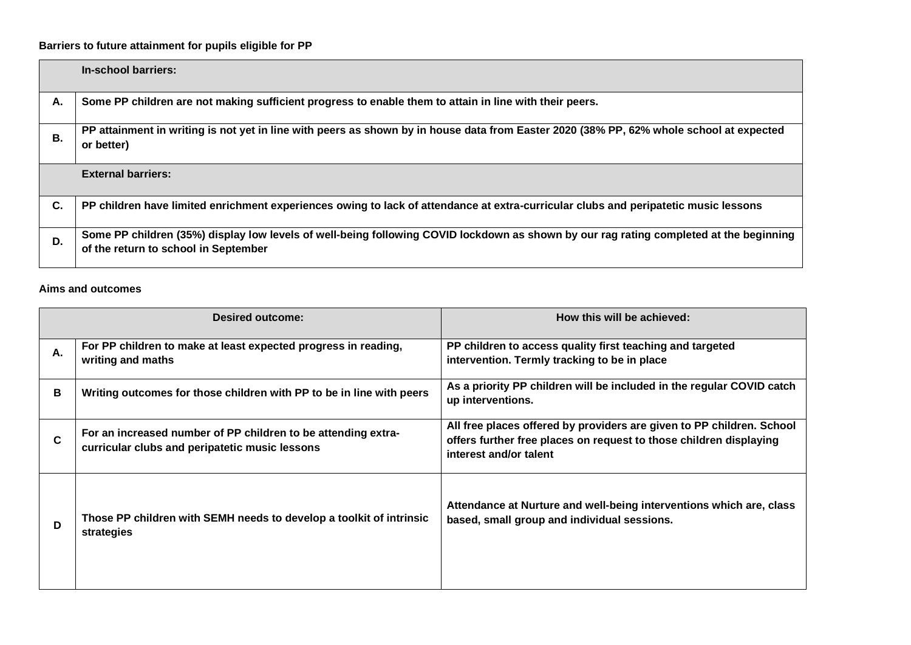## **Barriers to future attainment for pupils eligible for PP**

|           | In-school barriers:                                                                                                                                                            |
|-----------|--------------------------------------------------------------------------------------------------------------------------------------------------------------------------------|
| Α.        | Some PP children are not making sufficient progress to enable them to attain in line with their peers.                                                                         |
| <b>B.</b> | PP attainment in writing is not yet in line with peers as shown by in house data from Easter 2020 (38% PP, 62% whole school at expected<br>or better)                          |
|           | <b>External barriers:</b>                                                                                                                                                      |
| C.        | PP children have limited enrichment experiences owing to lack of attendance at extra-curricular clubs and peripatetic music lessons                                            |
| D.        | Some PP children (35%) display low levels of well-being following COVID lockdown as shown by our rag rating completed at the beginning<br>of the return to school in September |

## **Aims and outcomes**

|    | <b>Desired outcome:</b>                                                                                         | How this will be achieved:                                                                                                                                            |  |  |
|----|-----------------------------------------------------------------------------------------------------------------|-----------------------------------------------------------------------------------------------------------------------------------------------------------------------|--|--|
| А. | For PP children to make at least expected progress in reading,<br>writing and maths                             | PP children to access quality first teaching and targeted<br>intervention. Termly tracking to be in place                                                             |  |  |
| В  | Writing outcomes for those children with PP to be in line with peers                                            | As a priority PP children will be included in the regular COVID catch<br>up interventions.                                                                            |  |  |
| C  | For an increased number of PP children to be attending extra-<br>curricular clubs and peripatetic music lessons | All free places offered by providers are given to PP children. School<br>offers further free places on request to those children displaying<br>interest and/or talent |  |  |
| D  | Those PP children with SEMH needs to develop a toolkit of intrinsic<br>strategies                               | Attendance at Nurture and well-being interventions which are, class<br>based, small group and individual sessions.                                                    |  |  |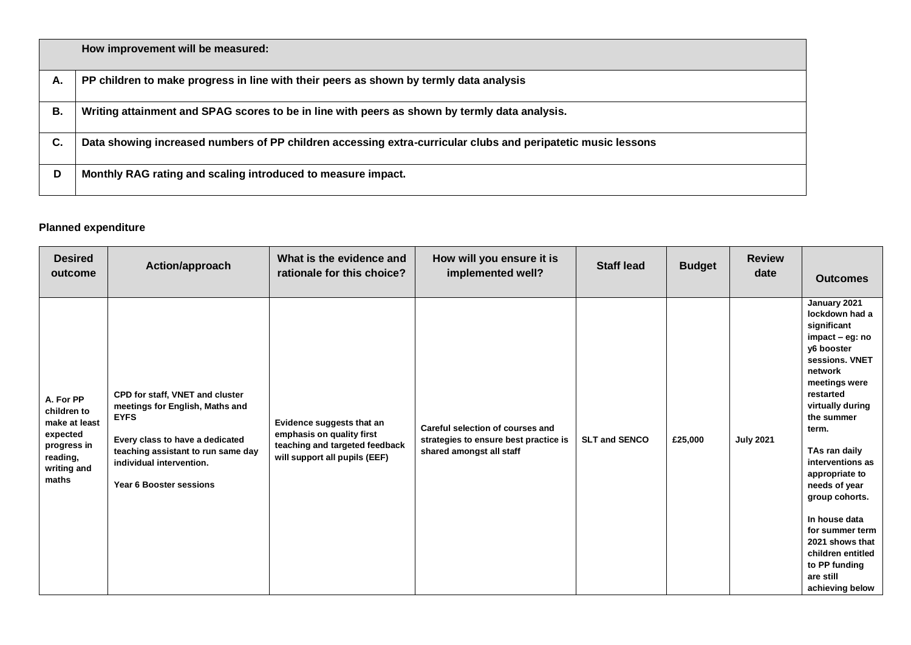|    | How improvement will be measured:                                                                            |
|----|--------------------------------------------------------------------------------------------------------------|
| А. | PP children to make progress in line with their peers as shown by termly data analysis                       |
| В. | Writing attainment and SPAG scores to be in line with peers as shown by termly data analysis.                |
| С. | Data showing increased numbers of PP children accessing extra-curricular clubs and peripatetic music lessons |
| D  | Monthly RAG rating and scaling introduced to measure impact.                                                 |

## **Planned expenditure**

| <b>Desired</b><br>outcome                                                                                | Action/approach                                                                                                                                                                                                   | What is the evidence and<br>rationale for this choice?                                                                    | How will you ensure it is<br>implemented well?                                                        | <b>Staff lead</b>    | <b>Budget</b> | <b>Review</b><br>date | <b>Outcomes</b>                                                                                                                                                                                                                                                                                                                                                                                             |
|----------------------------------------------------------------------------------------------------------|-------------------------------------------------------------------------------------------------------------------------------------------------------------------------------------------------------------------|---------------------------------------------------------------------------------------------------------------------------|-------------------------------------------------------------------------------------------------------|----------------------|---------------|-----------------------|-------------------------------------------------------------------------------------------------------------------------------------------------------------------------------------------------------------------------------------------------------------------------------------------------------------------------------------------------------------------------------------------------------------|
| A. For PP<br>children to<br>make at least<br>expected<br>progress in<br>reading,<br>writing and<br>maths | CPD for staff, VNET and cluster<br>meetings for English, Maths and<br><b>EYFS</b><br>Every class to have a dedicated<br>teaching assistant to run same day<br>individual intervention.<br>Year 6 Booster sessions | Evidence suggests that an<br>emphasis on quality first<br>teaching and targeted feedback<br>will support all pupils (EEF) | Careful selection of courses and<br>strategies to ensure best practice is<br>shared amongst all staff | <b>SLT and SENCO</b> | £25,000       | <b>July 2021</b>      | January 2021<br>lockdown had a<br>significant<br>impact - eg: no<br>v6 booster<br>sessions. VNET<br>network<br>meetings were<br>restarted<br>virtually during<br>the summer<br>term.<br>TAs ran daily<br>interventions as<br>appropriate to<br>needs of year<br>group cohorts.<br>In house data<br>for summer term<br>2021 shows that<br>children entitled<br>to PP funding<br>are still<br>achieving below |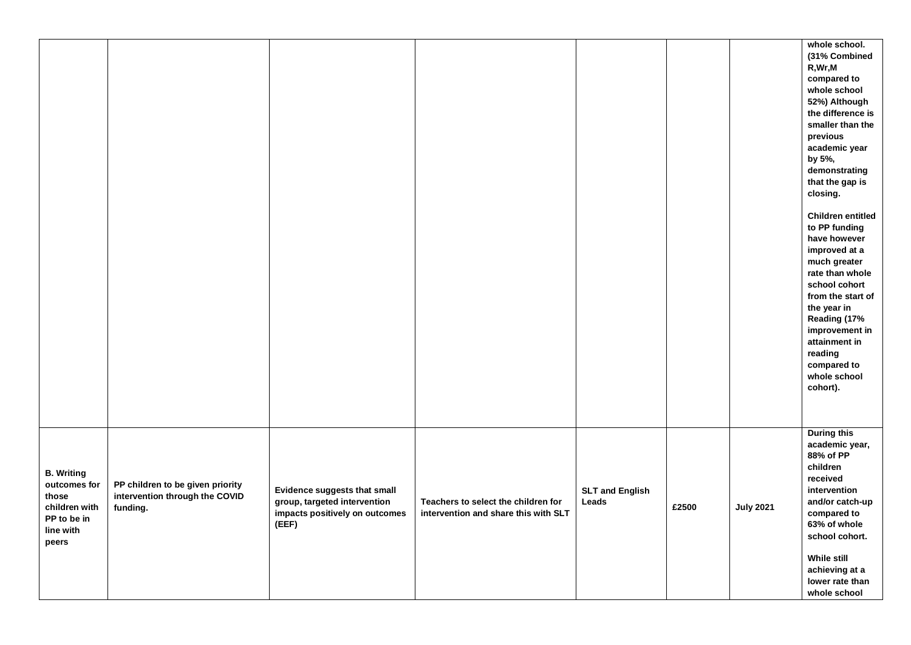|                                                                                                  |                                                                                |                                                                                                         |                                                                             |                                 |       |                  | whole school.<br>(31% Combined<br>R, Wr, M<br>compared to<br>whole school<br>52%) Although<br>the difference is<br>smaller than the<br>previous<br>academic year<br>by 5%,<br>demonstrating<br>that the gap is<br>closing.<br><b>Children entitled</b><br>to PP funding<br>have however<br>improved at a<br>much greater<br>rate than whole<br>school cohort<br>from the start of<br>the year in<br>Reading (17%<br>improvement in<br>attainment in<br>reading<br>compared to<br>whole school<br>cohort). |
|--------------------------------------------------------------------------------------------------|--------------------------------------------------------------------------------|---------------------------------------------------------------------------------------------------------|-----------------------------------------------------------------------------|---------------------------------|-------|------------------|-----------------------------------------------------------------------------------------------------------------------------------------------------------------------------------------------------------------------------------------------------------------------------------------------------------------------------------------------------------------------------------------------------------------------------------------------------------------------------------------------------------|
| <b>B.</b> Writing<br>outcomes for<br>those<br>children with<br>PP to be in<br>line with<br>peers | PP children to be given priority<br>intervention through the COVID<br>funding. | Evidence suggests that small<br>group, targeted intervention<br>impacts positively on outcomes<br>(EEF) | Teachers to select the children for<br>intervention and share this with SLT | <b>SLT and English</b><br>Leads | £2500 | <b>July 2021</b> | <b>During this</b><br>academic year,<br>88% of PP<br>children<br>received<br>intervention<br>and/or catch-up<br>compared to<br>63% of whole<br>school cohort.<br>While still<br>achieving at a<br>lower rate than<br>whole school                                                                                                                                                                                                                                                                         |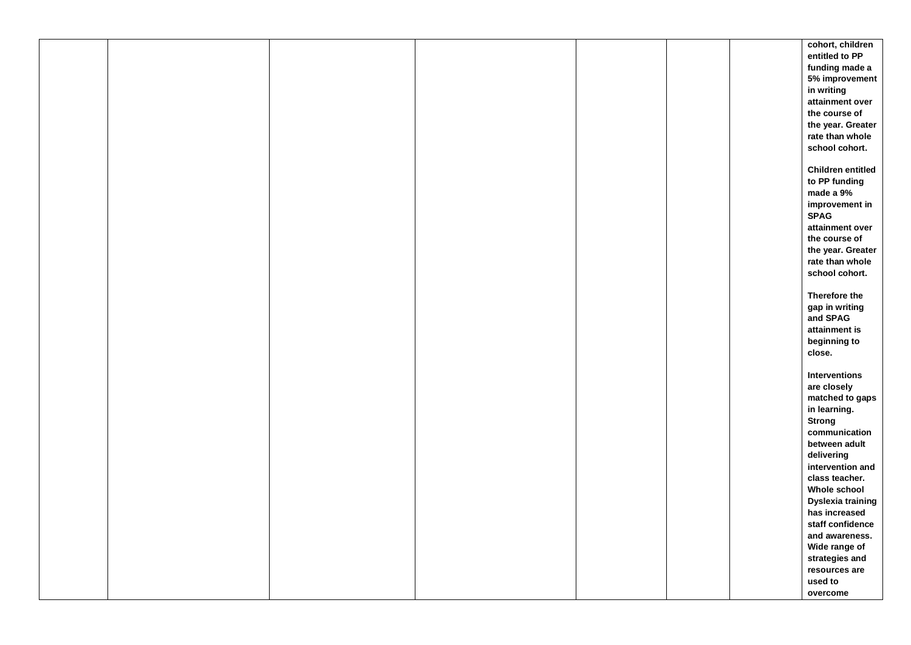|  |  |  | cohort, children         |
|--|--|--|--------------------------|
|  |  |  | entitled to PP           |
|  |  |  |                          |
|  |  |  | funding made a           |
|  |  |  | 5% improvement           |
|  |  |  | in writing               |
|  |  |  | attainment over          |
|  |  |  | the course of            |
|  |  |  | the year. Greater        |
|  |  |  | rate than whole          |
|  |  |  | school cohort.           |
|  |  |  |                          |
|  |  |  | <b>Children entitled</b> |
|  |  |  | to PP funding            |
|  |  |  | made a 9%                |
|  |  |  | improvement in           |
|  |  |  | <b>SPAG</b>              |
|  |  |  | attainment over          |
|  |  |  | the course of            |
|  |  |  | the year. Greater        |
|  |  |  | rate than whole          |
|  |  |  |                          |
|  |  |  | school cohort.           |
|  |  |  |                          |
|  |  |  | Therefore the            |
|  |  |  | gap in writing           |
|  |  |  | and SPAG                 |
|  |  |  | attainment is            |
|  |  |  | beginning to             |
|  |  |  | close.                   |
|  |  |  |                          |
|  |  |  | Interventions            |
|  |  |  | are closely              |
|  |  |  | matched to gaps          |
|  |  |  | in learning.             |
|  |  |  | <b>Strong</b>            |
|  |  |  | communication            |
|  |  |  | between adult            |
|  |  |  | delivering               |
|  |  |  | intervention and         |
|  |  |  | class teacher.           |
|  |  |  | Whole school             |
|  |  |  | Dyslexia training        |
|  |  |  | has increased            |
|  |  |  | staff confidence         |
|  |  |  |                          |
|  |  |  | and awareness.           |
|  |  |  | Wide range of            |
|  |  |  | strategies and           |
|  |  |  | resources are            |
|  |  |  | used to                  |
|  |  |  | overcome                 |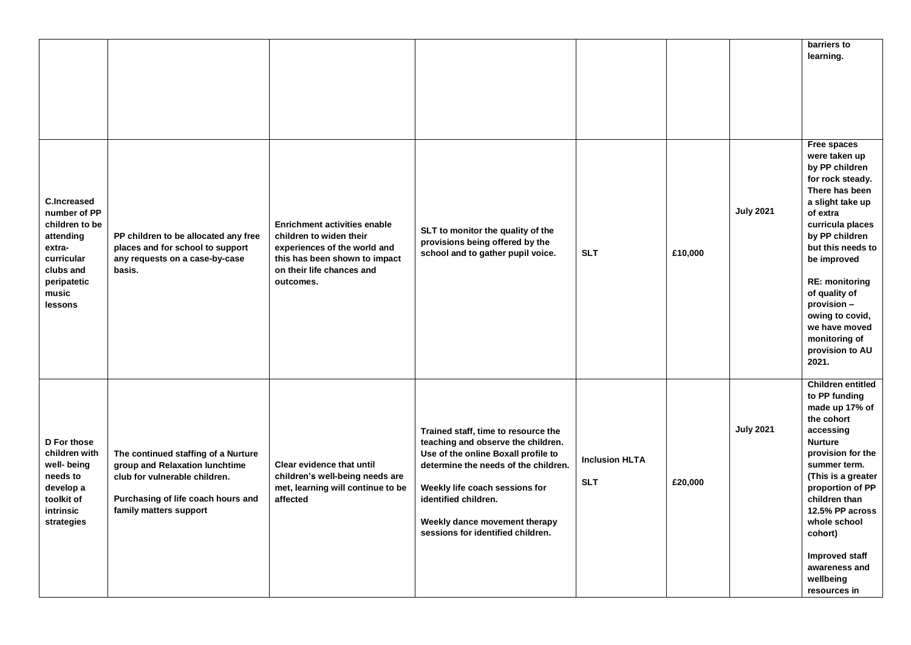|                                                                                                                                           |                                                                                                                                                                        |                                                                                                                                                                           |                                                                                                                                                                                                                                                                                          |                                     |         |                  | barriers to<br>learning.                                                                                                                                                                                                                                                                                                                 |
|-------------------------------------------------------------------------------------------------------------------------------------------|------------------------------------------------------------------------------------------------------------------------------------------------------------------------|---------------------------------------------------------------------------------------------------------------------------------------------------------------------------|------------------------------------------------------------------------------------------------------------------------------------------------------------------------------------------------------------------------------------------------------------------------------------------|-------------------------------------|---------|------------------|------------------------------------------------------------------------------------------------------------------------------------------------------------------------------------------------------------------------------------------------------------------------------------------------------------------------------------------|
| <b>C.Increased</b><br>number of PP<br>children to be<br>attending<br>extra-<br>curricular<br>clubs and<br>peripatetic<br>music<br>lessons | PP children to be allocated any free<br>places and for school to support<br>any requests on a case-by-case<br>basis.                                                   | <b>Enrichment activities enable</b><br>children to widen their<br>experiences of the world and<br>this has been shown to impact<br>on their life chances and<br>outcomes. | SLT to monitor the quality of the<br>provisions being offered by the<br>school and to gather pupil voice.                                                                                                                                                                                | <b>SLT</b>                          | £10,000 | <b>July 2021</b> | Free spaces<br>were taken up<br>by PP children<br>for rock steady.<br>There has been<br>a slight take up<br>of extra<br>curricula places<br>by PP children<br>but this needs to<br>be improved<br><b>RE: monitoring</b><br>of quality of<br>provision -<br>owing to covid,<br>we have moved<br>monitoring of<br>provision to AU<br>2021. |
| D For those<br>children with<br>well- being<br>needs to<br>develop a<br>toolkit of<br><b>intrinsic</b><br>strategies                      | The continued staffing of a Nurture<br>group and Relaxation lunchtime<br>club for vulnerable children.<br>Purchasing of life coach hours and<br>family matters support | Clear evidence that until<br>children's well-being needs are<br>met, learning will continue to be<br>affected                                                             | Trained staff, time to resource the<br>teaching and observe the children.<br>Use of the online Boxall profile to<br>determine the needs of the children.<br>Weekly life coach sessions for<br>identified children.<br>Weekly dance movement therapy<br>sessions for identified children. | <b>Inclusion HLTA</b><br><b>SLT</b> | £20,000 | <b>July 2021</b> | <b>Children entitled</b><br>to PP funding<br>made up 17% of<br>the cohort<br>accessing<br><b>Nurture</b><br>provision for the<br>summer term.<br>(This is a greater<br>proportion of PP<br>children than<br>12.5% PP across<br>whole school<br>cohort)<br><b>Improved staff</b><br>awareness and<br>wellbeing<br>resources in            |